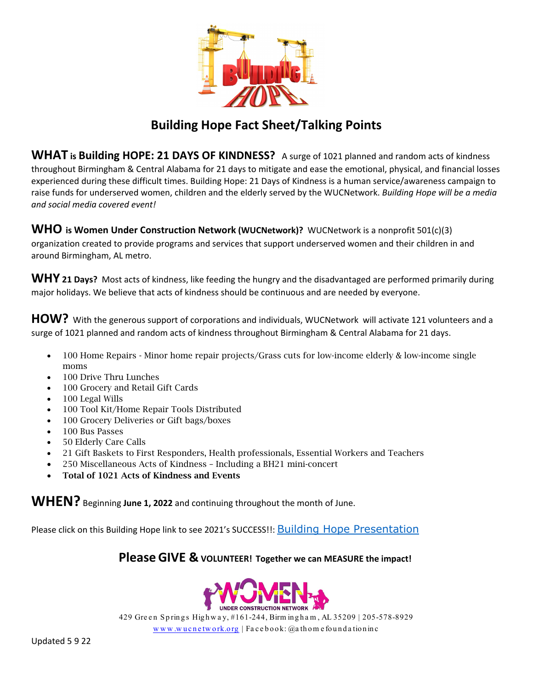

## **Building Hope Fact Sheet/Talking Points**

**WHAT is Building HOPE: 21 DAYS OF KINDNESS?** A surge of 1021 planned and random acts of kindness throughout Birmingham & Central Alabama for 21 days to mitigate and ease the emotional, physical, and financial losses experienced during these difficult times. Building Hope: 21 Days of Kindness is a human service/awareness campaign to raise funds for underserved women, children and the elderly served by the WUCNetwork. *Building Hope will be a media and social media covered event!*

#### **WHO** is Women Under Construction Network (WUCNetwork)? WUCNetwork is a nonprofit 501(c)(3)

organization created to provide programs and services that support underserved women and their children in and around Birmingham, AL metro.

**WHY <sup>21</sup> Days?** Most acts of kindness, like feeding the hungry and the disadvantaged are performed primarily during major holidays. We believe that acts of kindness should be continuous and are needed by everyone.

**HOW?** With the generous support of corporations and individuals, WUCNetwork will activate 121 volunteers and a surge of 1021 planned and random acts of kindness throughout Birmingham & Central Alabama for 21 days.

- 100 Home Repairs Minor home repair projects/Grass cuts for low-income elderly & low-income single moms
- 100 Drive Thru Lunches
- 100 Grocery and Retail Gift Cards
- 100 Legal Wills
- 100 Tool Kit/Home Repair Tools Distributed
- 100 Grocery Deliveries or Gift bags/boxes
- 100 Bus Passes
- 50 Elderly Care Calls
- 21 Gift Baskets to First Responders, Health professionals, Essential Workers and Teachers
- 250 Miscellaneous Acts of Kindness Including a BH21 mini-concert
- Total of 1021 Acts of Kindness and Events

**WHEN?** Beginning **June 1, 2022** and continuing throughout the month of June.

Please click on this Building Hope link to see 2021's SUCCESS!!: [Building Hope Presentation](https://youtu.be/8a4U-FBTVvI)

### **PleaseGIVE & VOLUNTEER! Together we can MEASURE the impact!**



429 Green Springs Highway, #161-244, Birm ingham, AL 35209 | 205-578-8929

 $w w w w$  w u c n e twork.org | Facebook:  $@a$  th ome found a tion in c